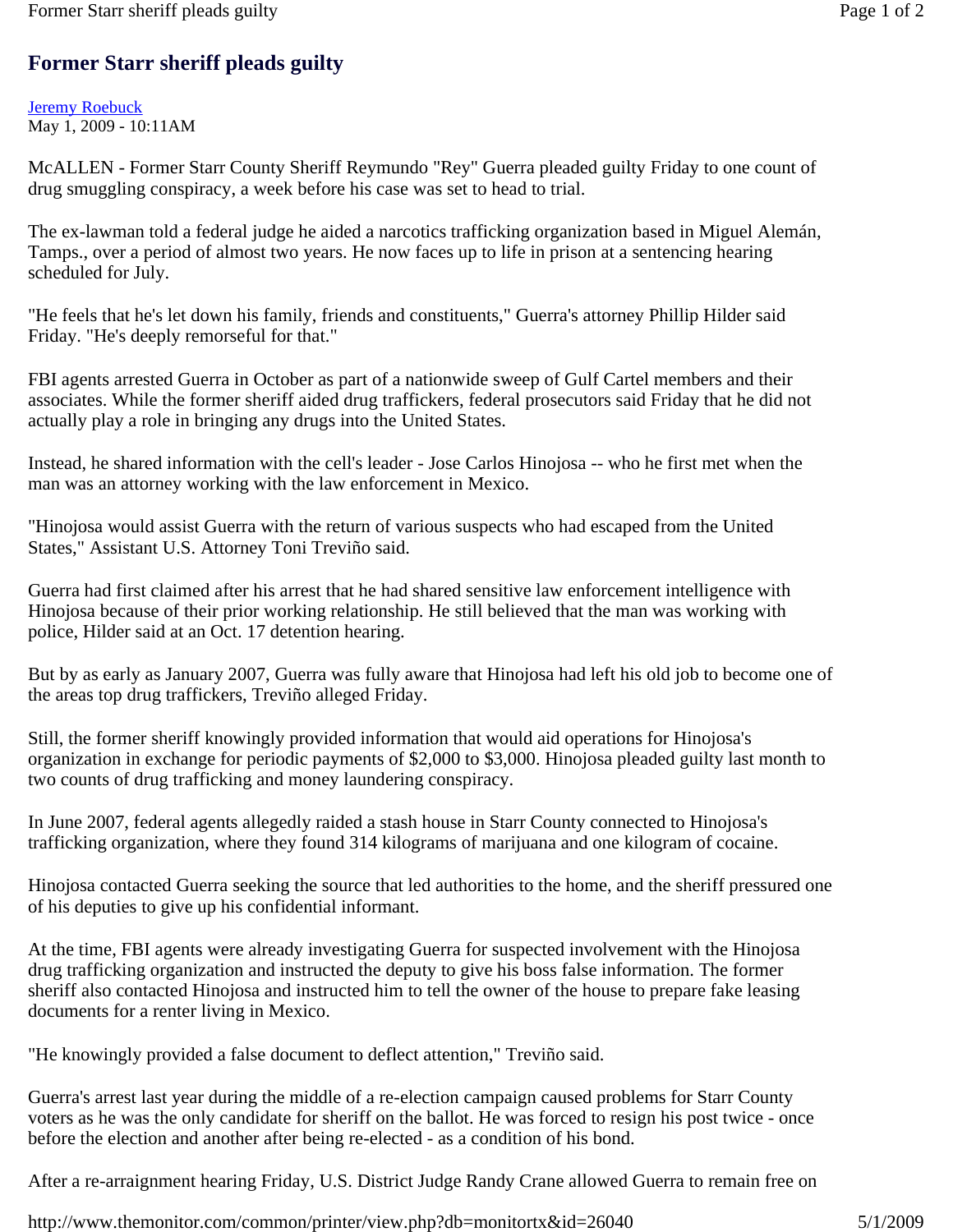## **Former Starr sheriff pleads guilty**

## Jeremy Roebuck May 1, 2009 - 10:11AM

McALLEN - Former Starr County Sheriff Reymundo "Rey" Guerra pleaded guilty Friday to one count of drug smuggling conspiracy, a week before his case was set to head to trial.

The ex-lawman told a federal judge he aided a narcotics trafficking organization based in Miguel Alemán, Tamps., over a period of almost two years. He now faces up to life in prison at a sentencing hearing scheduled for July.

"He feels that he's let down his family, friends and constituents," Guerra's attorney Phillip Hilder said Friday. "He's deeply remorseful for that."

FBI agents arrested Guerra in October as part of a nationwide sweep of Gulf Cartel members and their associates. While the former sheriff aided drug traffickers, federal prosecutors said Friday that he did not actually play a role in bringing any drugs into the United States.

Instead, he shared information with the cell's leader - Jose Carlos Hinojosa -- who he first met when the man was an attorney working with the law enforcement in Mexico.

"Hinojosa would assist Guerra with the return of various suspects who had escaped from the United States," Assistant U.S. Attorney Toni Treviño said.

Guerra had first claimed after his arrest that he had shared sensitive law enforcement intelligence with Hinojosa because of their prior working relationship. He still believed that the man was working with police, Hilder said at an Oct. 17 detention hearing.

But by as early as January 2007, Guerra was fully aware that Hinojosa had left his old job to become one of the areas top drug traffickers, Treviño alleged Friday.

Still, the former sheriff knowingly provided information that would aid operations for Hinojosa's organization in exchange for periodic payments of \$2,000 to \$3,000. Hinojosa pleaded guilty last month to two counts of drug trafficking and money laundering conspiracy.

In June 2007, federal agents allegedly raided a stash house in Starr County connected to Hinojosa's trafficking organization, where they found 314 kilograms of marijuana and one kilogram of cocaine.

Hinojosa contacted Guerra seeking the source that led authorities to the home, and the sheriff pressured one of his deputies to give up his confidential informant.

At the time, FBI agents were already investigating Guerra for suspected involvement with the Hinojosa drug trafficking organization and instructed the deputy to give his boss false information. The former sheriff also contacted Hinojosa and instructed him to tell the owner of the house to prepare fake leasing documents for a renter living in Mexico.

"He knowingly provided a false document to deflect attention," Treviño said.

Guerra's arrest last year during the middle of a re-election campaign caused problems for Starr County voters as he was the only candidate for sheriff on the ballot. He was forced to resign his post twice - once before the election and another after being re-elected - as a condition of his bond.

After a re-arraignment hearing Friday, U.S. District Judge Randy Crane allowed Guerra to remain free on

http://www.themonitor.com/common/printer/view.php?db=monitortx&id=26040 5/1/2009